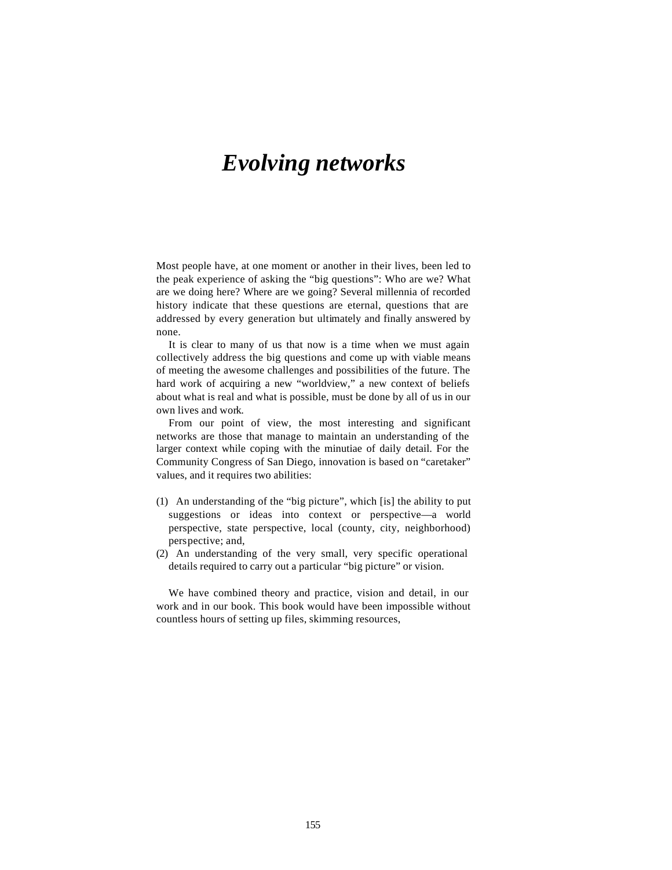# *Evolving networks*

Most people have, at one moment or another in their lives, been led to the peak experience of asking the "big questions": Who are we? What are we doing here? Where are we going? Several millennia of recorded history indicate that these questions are eternal, questions that are addressed by every generation but ultimately and finally answered by none.

It is clear to many of us that now is a time when we must again collectively address the big questions and come up with viable means of meeting the awesome challenges and possibilities of the future. The hard work of acquiring a new "worldview," a new context of beliefs about what is real and what is possible, must be done by all of us in our own lives and work.

From our point of view, the most interesting and significant networks are those that manage to maintain an understanding of the larger context while coping with the minutiae of daily detail. For the Community Congress of San Diego, innovation is based on "caretaker" values, and it requires two abilities:

- (1) An understanding of the "big picture", which [is] the ability to put suggestions or ideas into context or perspective—a world perspective, state perspective, local (county, city, neighborhood) perspective; and,
- (2) An understanding of the very small, very specific operational details required to carry out a particular "big picture" or vision.

We have combined theory and practice, vision and detail, in our work and in our book. This book would have been impossible without countless hours of setting up files, skimming resources,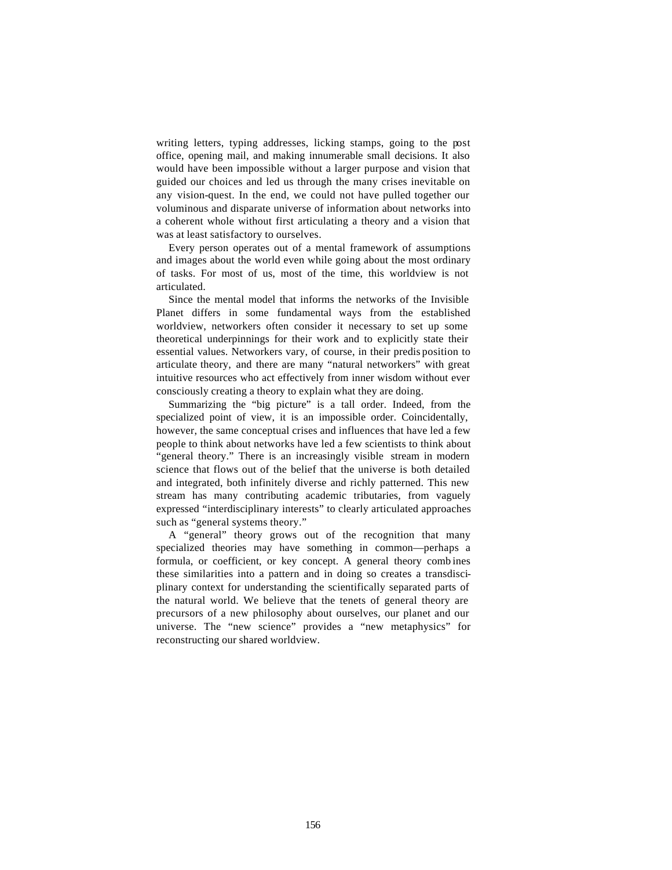writing letters, typing addresses, licking stamps, going to the post office, opening mail, and making innumerable small decisions. It also would have been impossible without a larger purpose and vision that guided our choices and led us through the many crises inevitable on any vision-quest. In the end, we could not have pulled together our voluminous and disparate universe of information about networks into a coherent whole without first articulating a theory and a vision that was at least satisfactory to ourselves.

Every person operates out of a mental framework of assumptions and images about the world even while going about the most ordinary of tasks. For most of us, most of the time, this worldview is not articulated.

Since the mental model that informs the networks of the Invisible Planet differs in some fundamental ways from the established worldview, networkers often consider it necessary to set up some theoretical underpinnings for their work and to explicitly state their essential values. Networkers vary, of course, in their predis position to articulate theory, and there are many "natural networkers" with great intuitive resources who act effectively from inner wisdom without ever consciously creating a theory to explain what they are doing.

Summarizing the "big picture" is a tall order. Indeed, from the specialized point of view, it is an impossible order. Coincidentally, however, the same conceptual crises and influences that have led a few people to think about networks have led a few scientists to think about "general theory." There is an increasingly visible stream in modern science that flows out of the belief that the universe is both detailed and integrated, both infinitely diverse and richly patterned. This new stream has many contributing academic tributaries, from vaguely expressed "interdisciplinary interests" to clearly articulated approaches such as "general systems theory."

A "general" theory grows out of the recognition that many specialized theories may have something in common—perhaps a formula, or coefficient, or key concept. A general theory comb ines these similarities into a pattern and in doing so creates a transdisciplinary context for understanding the scientifically separated parts of the natural world. We believe that the tenets of general theory are precursors of a new philosophy about ourselves, our planet and our universe. The "new science" provides a "new metaphysics" for reconstructing our shared worldview.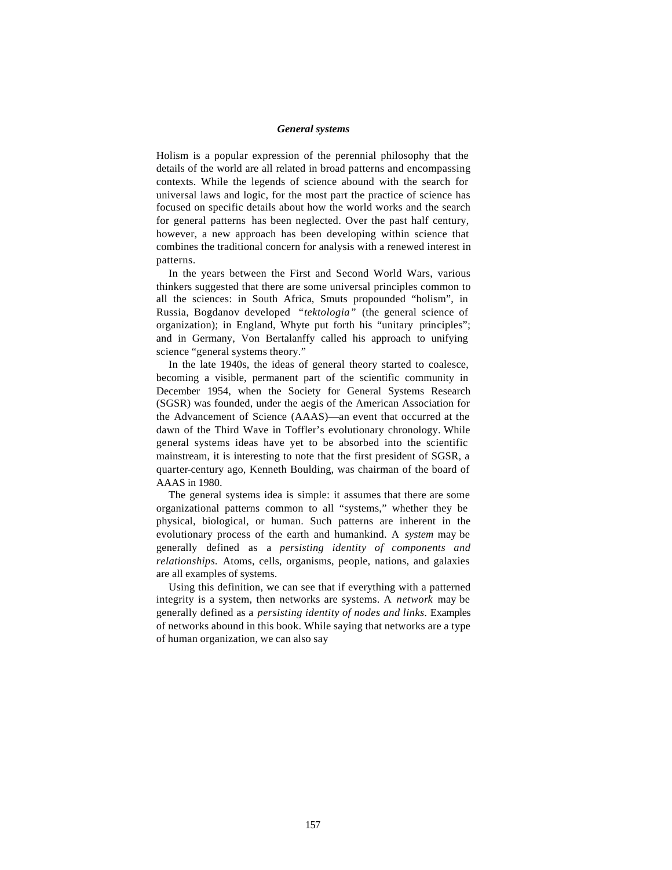## *General systems*

Holism is a popular expression of the perennial philosophy that the details of the world are all related in broad patterns and encompassing contexts. While the legends of science abound with the search for universal laws and logic, for the most part the practice of science has focused on specific details about how the world works and the search for general patterns has been neglected. Over the past half century, however, a new approach has been developing within science that combines the traditional concern for analysis with a renewed interest in patterns.

In the years between the First and Second World Wars, various thinkers suggested that there are some universal principles common to all the sciences: in South Africa, Smuts propounded "holism", in Russia, Bogdanov developed *"tektologia"* (the general science of organization); in England, Whyte put forth his "unitary principles"; and in Germany, Von Bertalanffy called his approach to unifying science "general systems theory."

In the late 1940s, the ideas of general theory started to coalesce, becoming a visible, permanent part of the scientific community in December 1954, when the Society for General Systems Research (SGSR) was founded, under the aegis of the American Association for the Advancement of Science (AAAS)—an event that occurred at the dawn of the Third Wave in Toffler's evolutionary chronology. While general systems ideas have yet to be absorbed into the scientific mainstream, it is interesting to note that the first president of SGSR, a quarter-century ago, Kenneth Boulding, was chairman of the board of AAAS in 1980.

The general systems idea is simple: it assumes that there are some organizational patterns common to all "systems," whether they be physical, biological, or human. Such patterns are inherent in the evolutionary process of the earth and humankind. A *system* may be generally defined as a *persisting identity of components and relationships.* Atoms, cells, organisms, people, nations, and galaxies are all examples of systems.

Using this definition, we can see that if everything with a patterned integrity is a system, then networks are systems. A *network* may be generally defined as a *persisting identity of nodes and links.* Examples of networks abound in this book. While saying that networks are a type of human organization, we can also say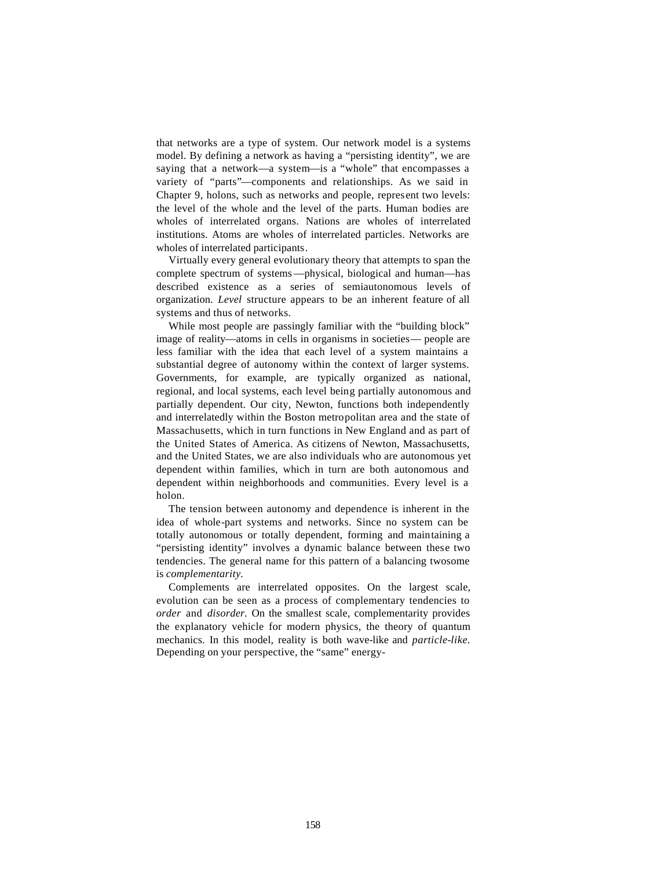that networks are a type of system. Our network model is a systems model. By defining a network as having a "persisting identity", we are saying that a network—a system—is a "whole" that encompasses a variety of "parts"—components and relationships. As we said in Chapter 9, holons, such as networks and people, represent two levels: the level of the whole and the level of the parts. Human bodies are wholes of interrelated organs. Nations are wholes of interrelated institutions. Atoms are wholes of interrelated particles. Networks are wholes of interrelated participants.

Virtually every general evolutionary theory that attempts to span the complete spectrum of systems—physical, biological and human—has described existence as a series of semiautonomous levels of organization. *Level* structure appears to be an inherent feature of all systems and thus of networks.

While most people are passingly familiar with the "building block" image of reality—atoms in cells in organisms in societies— people are less familiar with the idea that each level of a system maintains a substantial degree of autonomy within the context of larger systems. Governments, for example, are typically organized as national, regional, and local systems, each level being partially autonomous and partially dependent. Our city, Newton, functions both independently and interrelatedly within the Boston metropolitan area and the state of Massachusetts, which in turn functions in New England and as part of the United States of America. As citizens of Newton, Massachusetts, and the United States, we are also individuals who are autonomous yet dependent within families, which in turn are both autonomous and dependent within neighborhoods and communities. Every level is a holon.

The tension between autonomy and dependence is inherent in the idea of whole-part systems and networks. Since no system can be totally autonomous or totally dependent, forming and maintaining a "persisting identity" involves a dynamic balance between these two tendencies. The general name for this pattern of a balancing twosome is *complementarity.*

Complements are interrelated opposites. On the largest scale, evolution can be seen as a process of complementary tendencies to *order* and *disorder.* On the smallest scale, complementarity provides the explanatory vehicle for modern physics, the theory of quantum mechanics. In this model, reality is both wave-like and *particle-like.*  Depending on your perspective, the "same" energy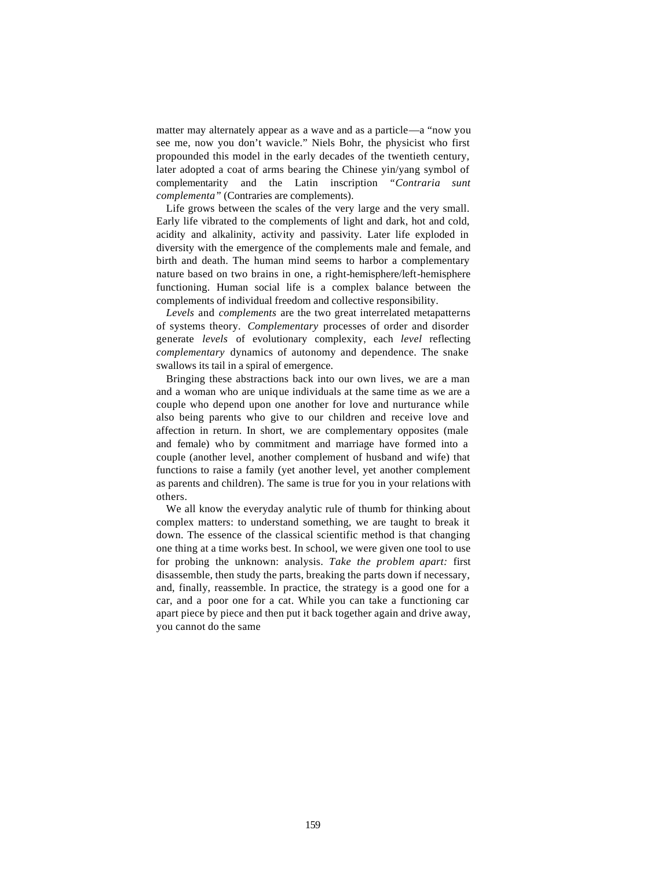matter may alternately appear as a wave and as a particle—a "now you see me, now you don't wavicle." Niels Bohr, the physicist who first propounded this model in the early decades of the twentieth century, later adopted a coat of arms bearing the Chinese yin/yang symbol of complementarity and the Latin inscription *"Contraria complementa"* (Contraries are complements).

Life grows between the scales of the very large and the very small. Early life vibrated to the complements of light and dark, hot and cold, acidity and alkalinity, activity and passivity. Later life exploded in diversity with the emergence of the complements male and female, and birth and death. The human mind seems to harbor a complementary nature based on two brains in one, a right-hemisphere/left-hemisphere functioning. Human social life is a complex balance between the complements of individual freedom and collective responsibility.

*Levels* and *complements* are the two great interrelated metapatterns of systems theory. *Complementary* processes of order and disorder generate *levels* of evolutionary complexity, each *level* reflecting *complementary* dynamics of autonomy and dependence. The snake swallows its tail in a spiral of emergence.

Bringing these abstractions back into our own lives, we are a man and a woman who are unique individuals at the same time as we are a couple who depend upon one another for love and nurturance while also being parents who give to our children and receive love and affection in return. In short, we are complementary opposites (male and female) who by commitment and marriage have formed into a couple (another level, another complement of husband and wife) that functions to raise a family (yet another level, yet another complement as parents and children). The same is true for you in your relations with others.

We all know the everyday analytic rule of thumb for thinking about complex matters: to understand something, we are taught to break it down. The essence of the classical scientific method is that changing one thing at a time works best. In school, we were given one tool to use for probing the unknown: analysis. *Take the problem apart:* first disassemble, then study the parts, breaking the parts down if necessary, and, finally, reassemble. In practice, the strategy is a good one for a car, and a poor one for a cat. While you can take a functioning car apart piece by piece and then put it back together again and drive away, you cannot do the same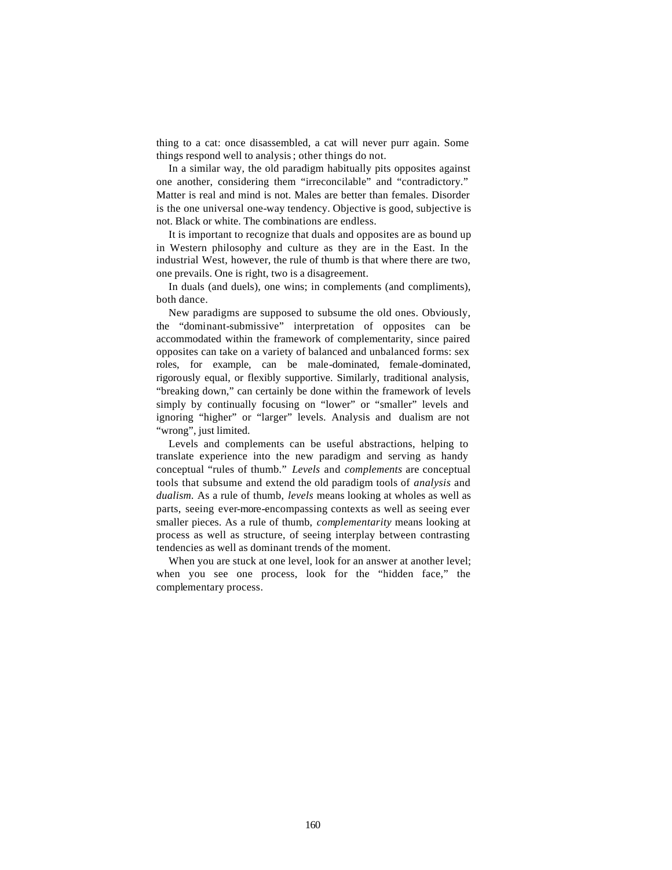thing to a cat: once disassembled, a cat will never purr again. Some things respond well to analysis; other things do not.

In a similar way, the old paradigm habitually pits opposites against one another, considering them "irreconcilable" and "contradictory." Matter is real and mind is not. Males are better than females. Disorder is the one universal one-way tendency. Objective is good, subjective is not. Black or white. The combinations are endless.

It is important to recognize that duals and opposites are as bound up in Western philosophy and culture as they are in the East. In the industrial West, however, the rule of thumb is that where there are two, one prevails. One is right, two is a disagreement.

In duals (and duels), one wins; in complements (and compliments), both dance.

New paradigms are supposed to subsume the old ones. Obviously, the "dominant-submissive" interpretation of opposites can be accommodated within the framework of complementarity, since paired opposites can take on a variety of balanced and unbalanced forms: sex roles, for example, can be male-dominated, female-dominated, rigorously equal, or flexibly supportive. Similarly, traditional analysis, "breaking down," can certainly be done within the framework of levels simply by continually focusing on "lower" or "smaller" levels and ignoring "higher" or "larger" levels. Analysis and dualism are not "wrong", just limited.

Levels and complements can be useful abstractions, helping to translate experience into the new paradigm and serving as handy conceptual "rules of thumb." *Levels* and *complements* are conceptual tools that subsume and extend the old paradigm tools of *analysis* and *dualism.* As a rule of thumb, *levels* means looking at wholes as well as parts, seeing ever-more-encompassing contexts as well as seeing ever smaller pieces. As a rule of thumb, *complementarity* means looking at process as well as structure, of seeing interplay between contrasting tendencies as well as dominant trends of the moment.

When you are stuck at one level, look for an answer at another level; when you see one process, look for the "hidden face," the complementary process.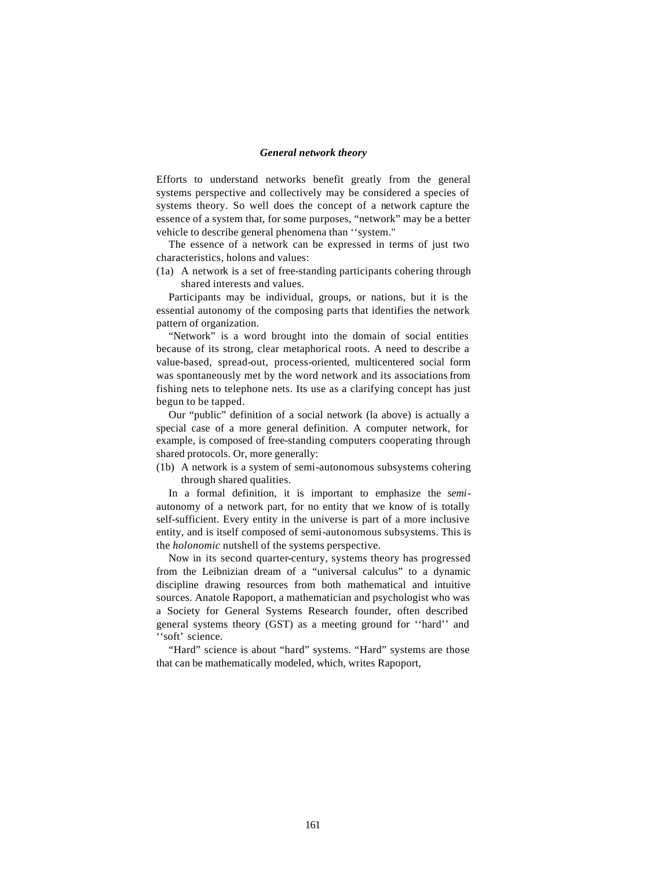#### *General network theory*

Efforts to understand networks benefit greatly from the general systems perspective and collectively may be considered a species of systems theory. So well does the concept of a network capture the essence of a system that, for some purposes, "network" may be a better vehicle to describe general phenomena than ''system."

The essence of a network can be expressed in terms of just two characteristics, holons and values:

(1a) A network is a set of free-standing participants cohering through shared interests and values.

Participants may be individual, groups, or nations, but it is the essential autonomy of the composing parts that identifies the network pattern of organization.

"Network" is a word brought into the domain of social entities because of its strong, clear metaphorical roots. A need to describe a value-based, spread-out, process-oriented, multicentered social form was spontaneously met by the word network and its associations from fishing nets to telephone nets. Its use as a clarifying concept has just begun to be tapped.

Our "public" definition of a social network (la above) is actually a special case of a more general definition. A computer network, for example, is composed of free-standing computers cooperating through shared protocols. Or, more generally:

(1b) A network is a system of semi-autonomous subsystems cohering through shared qualities.

In a formal definition, it is important to emphasize the *semi*autonomy of a network part, for no entity that we know of is totally self-sufficient. Every entity in the universe is part of a more inclusive entity, and is itself composed of semi-autonomous subsystems. This is the *holonomic* nutshell of the systems perspective.

Now in its second quarter-century, systems theory has progressed from the Leibnizian dream of a "universal calculus" to a dynamic discipline drawing resources from both mathematical and intuitive sources. Anatole Rapoport, a mathematician and psychologist who was a Society for General Systems Research founder, often described general systems theory (GST) as a meeting ground for ''hard'' and 'soft' science.

"Hard" science is about "hard" systems. "Hard" systems are those that can be mathematically modeled, which, writes Rapoport,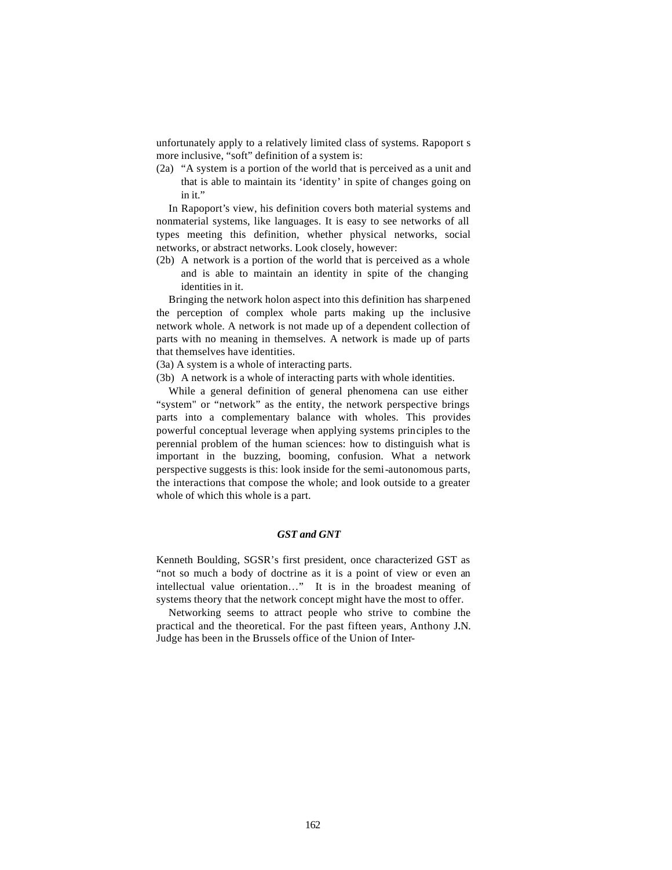unfortunately apply to a relatively limited class of systems. Rapoport s more inclusive, "soft" definition of a system is:

(2a) "A system is a portion of the world that is perceived as a unit and that is able to maintain its 'identity' in spite of changes going on in it."

In Rapoport's view, his definition covers both material systems and nonmaterial systems, like languages. It is easy to see networks of all types meeting this definition, whether physical networks, social networks, or abstract networks. Look closely, however:

(2b) A network is a portion of the world that is perceived as a whole and is able to maintain an identity in spite of the changing identities in it.

Bringing the network holon aspect into this definition has sharpened the perception of complex whole parts making up the inclusive network whole. A network is not made up of a dependent collection of parts with no meaning in themselves. A network is made up of parts that themselves have identities.

(3a) A system is a whole of interacting parts.

(3b) A network is a whole of interacting parts with whole identities.

While a general definition of general phenomena can use either "system" or "network" as the entity, the network perspective brings parts into a complementary balance with wholes. This provides powerful conceptual leverage when applying systems principles to the perennial problem of the human sciences: how to distinguish what is important in the buzzing, booming, confusion. What a network perspective suggests is this: look inside for the semi-autonomous parts, the interactions that compose the whole; and look outside to a greater whole of which this whole is a part.

# *GST and GNT*

Kenneth Boulding, SGSR's first president, once characterized GST as "not so much a body of doctrine as it is a point of view or even an intellectual value orientation…" It is in the broadest meaning of systems theory that the network concept might have the most to offer.

Networking seems to attract people who strive to combine the practical and the theoretical. For the past fifteen years, Anthony J.N. Judge has been in the Brussels office of the Union of Inter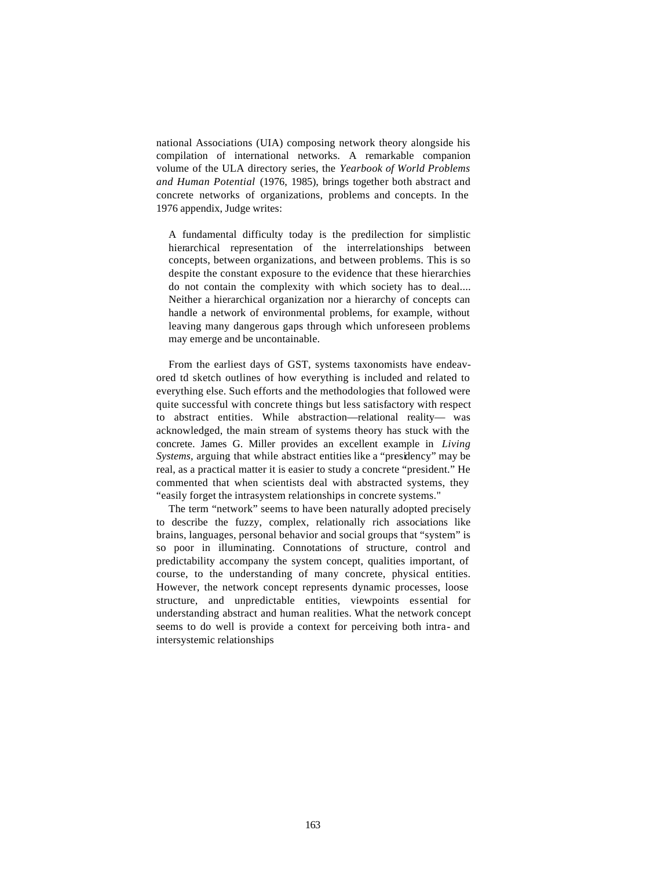national Associations (UIA) composing network theory alongside his compilation of international networks. A remarkable companion volume of the ULA directory series, the *Yearbook of World Problems and Human Potential* (1976, 1985), brings together both abstract and concrete networks of organizations, problems and concepts. In the 1976 appendix, Judge writes:

A fundamental difficulty today is the predilection for simplistic hierarchical representation of the interrelationships between concepts, between organizations, and between problems. This is so despite the constant exposure to the evidence that these hierarchies do not contain the complexity with which society has to deal.... Neither a hierarchical organization nor a hierarchy of concepts can handle a network of environmental problems, for example, without leaving many dangerous gaps through which unforeseen problems may emerge and be uncontainable.

From the earliest days of GST, systems taxonomists have endeavored td sketch outlines of how everything is included and related to everything else. Such efforts and the methodologies that followed were quite successful with concrete things but less satisfactory with respect to abstract entities. While abstraction—relational reality— was acknowledged, the main stream of systems theory has stuck with the concrete. James G. Miller provides an excellent example in *Living Systems,* arguing that while abstract entities like a "presidency" may be real, as a practical matter it is easier to study a concrete "president." He commented that when scientists deal with abstracted systems, they "easily forget the intrasystem relationships in concrete systems."

The term "network" seems to have been naturally adopted precisely to describe the fuzzy, complex, relationally rich associations like brains, languages, personal behavior and social groups that "system" is so poor in illuminating. Connotations of structure, control and predictability accompany the system concept, qualities important, of course, to the understanding of many concrete, physical entities. However, the network concept represents dynamic processes, loose structure, and unpredictable entities, viewpoints essential for understanding abstract and human realities. What the network concept seems to do well is provide a context for perceiving both intra- and intersystemic relationships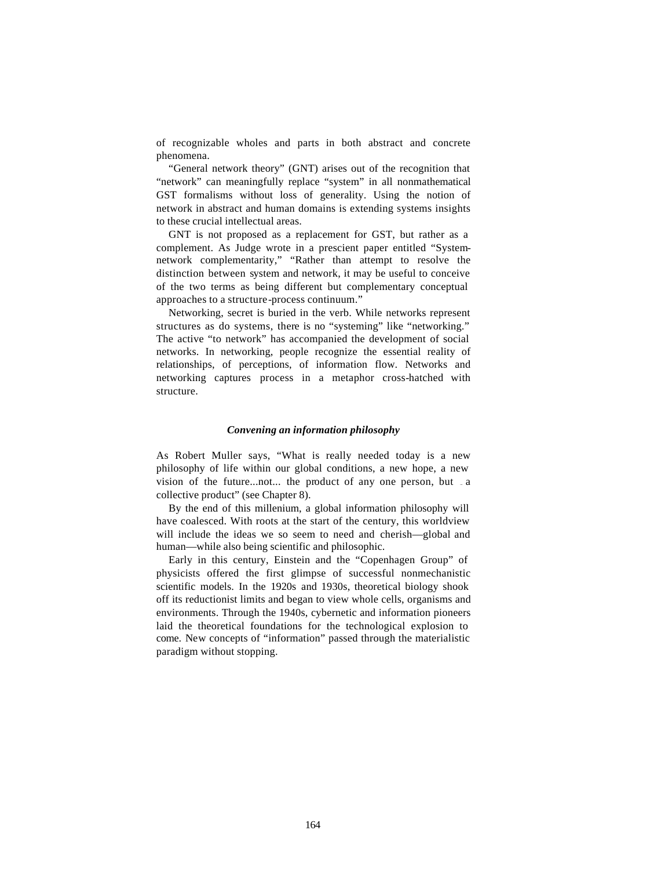of recognizable wholes and parts in both abstract and concrete phenomena.

"General network theory" (GNT) arises out of the recognition that "network" can meaningfully replace "system" in all nonmathematical GST formalisms without loss of generality. Using the notion of network in abstract and human domains is extending systems insights to these crucial intellectual areas.

GNT is not proposed as a replacement for GST, but rather as a complement. As Judge wrote in a prescient paper entitled "Systemnetwork complementarity," "Rather than attempt to resolve the distinction between system and network, it may be useful to conceive of the two terms as being different but complementary conceptual approaches to a structure-process continuum."

Networking, secret is buried in the verb. While networks represent structures as do systems, there is no "systeming" like "networking." The active "to network" has accompanied the development of social networks. In networking, people recognize the essential reality of relationships, of perceptions, of information flow. Networks and networking captures process in a metaphor cross-hatched with structure.

# *Convening an information philosophy*

As Robert Muller says, "What is really needed today is a new philosophy of life within our global conditions, a new hope, a new vision of the future... not... the product of any one person, but  $\alpha$ collective product" (see Chapter 8).

By the end of this millenium, a global information philosophy will have coalesced. With roots at the start of the century, this worldview will include the ideas we so seem to need and cherish—global and human—while also being scientific and philosophic.

Early in this century, Einstein and the "Copenhagen Group" of physicists offered the first glimpse of successful nonmechanistic scientific models. In the 1920s and 1930s, theoretical biology shook off its reductionist limits and began to view whole cells, organisms and environments. Through the 1940s, cybernetic and information pioneers laid the theoretical foundations for the technological explosion to come. New concepts of "information" passed through the materialistic paradigm without stopping.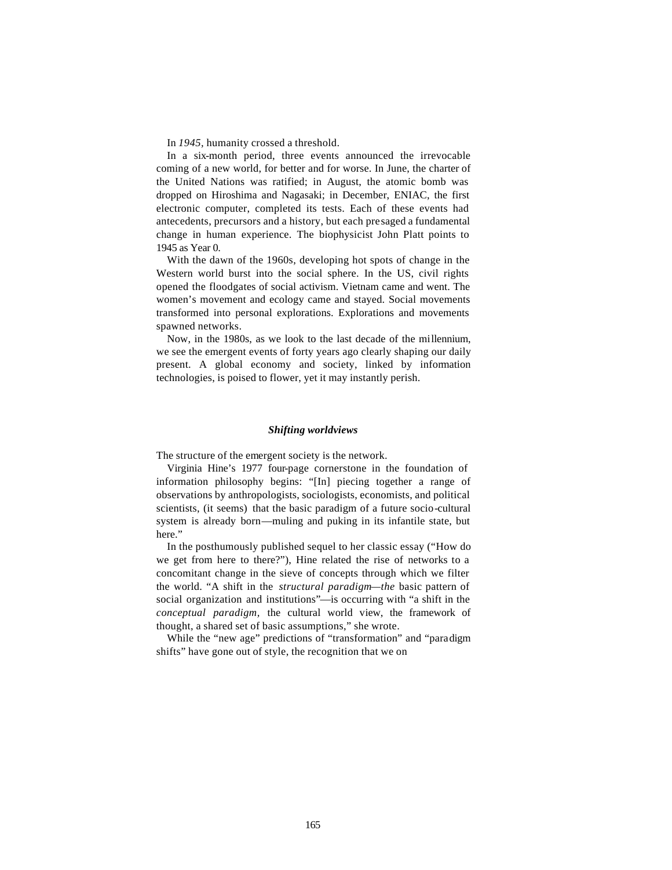In *1945,* humanity crossed a threshold.

In a six-month period, three events announced the irrevocable coming of a new world, for better and for worse. In June, the charter of the United Nations was ratified; in August, the atomic bomb was dropped on Hiroshima and Nagasaki; in December, ENIAC, the first electronic computer, completed its tests. Each of these events had antecedents, precursors and a history, but each presaged a fundamental change in human experience. The biophysicist John Platt points to 1945 as Year 0.

With the dawn of the 1960s, developing hot spots of change in the Western world burst into the social sphere. In the US, civil rights opened the floodgates of social activism. Vietnam came and went. The women's movement and ecology came and stayed. Social movements transformed into personal explorations. Explorations and movements spawned networks.

Now, in the 1980s, as we look to the last decade of the millennium, we see the emergent events of forty years ago clearly shaping our daily present. A global economy and society, linked by information technologies, is poised to flower, yet it may instantly perish.

## *Shifting worldviews*

The structure of the emergent society is the network.

Virginia Hine's 1977 four-page cornerstone in the foundation of information philosophy begins: "[In] piecing together a range of observations by anthropologists, sociologists, economists, and political scientists, (it seems) that the basic paradigm of a future socio-cultural system is already born—muling and puking in its infantile state, but here."

In the posthumously published sequel to her classic essay ("How do we get from here to there?"), Hine related the rise of networks to a concomitant change in the sieve of concepts through which we filter the world. "A shift in the *structural paradigm—the* basic pattern of social organization and institutions"—is occurring with "a shift in the *conceptual paradigm,* the cultural world view, the framework of thought, a shared set of basic assumptions," she wrote.

While the "new age" predictions of "transformation" and "paradigm shifts" have gone out of style, the recognition that we on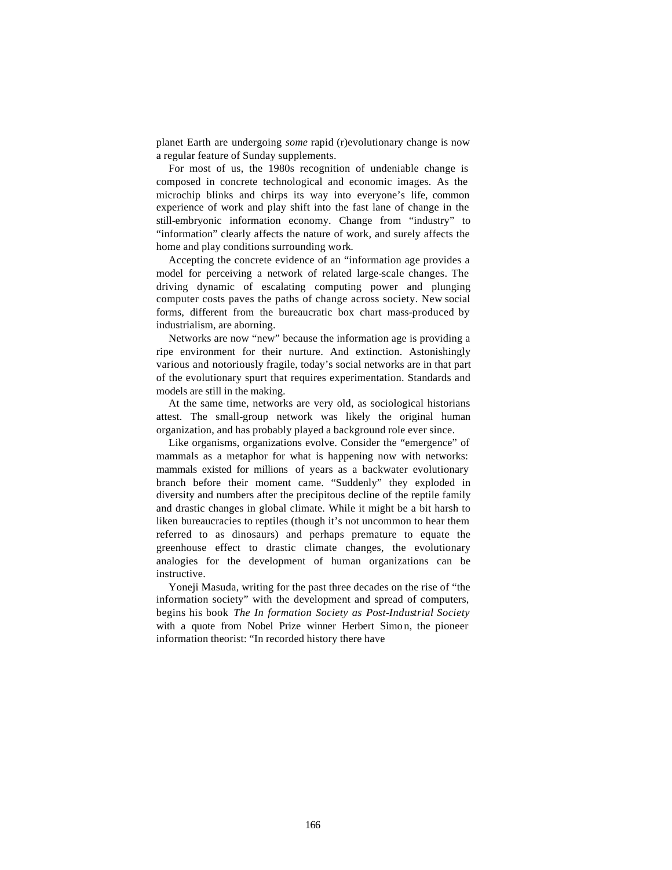planet Earth are undergoing *some* rapid (r)evolutionary change is now a regular feature of Sunday supplements.

For most of us, the 1980s recognition of undeniable change is composed in concrete technological and economic images. As the microchip blinks and chirps its way into everyone's life, common experience of work and play shift into the fast lane of change in the still-embryonic information economy. Change from "industry" to "information" clearly affects the nature of work, and surely affects the home and play conditions surrounding work.

Accepting the concrete evidence of an "information age provides a model for perceiving a network of related large-scale changes. The driving dynamic of escalating computing power and plunging computer costs paves the paths of change across society. New social forms, different from the bureaucratic box chart mass-produced by industrialism, are aborning.

Networks are now "new" because the information age is providing a ripe environment for their nurture. And extinction. Astonishingly various and notoriously fragile, today's social networks are in that part of the evolutionary spurt that requires experimentation. Standards and models are still in the making.

At the same time, networks are very old, as sociological historians attest. The small-group network was likely the original human organization, and has probably played a background role ever since.

Like organisms, organizations evolve. Consider the "emergence" of mammals as a metaphor for what is happening now with networks: mammals existed for millions of years as a backwater evolutionary branch before their moment came. "Suddenly" they exploded in diversity and numbers after the precipitous decline of the reptile family and drastic changes in global climate. While it might be a bit harsh to liken bureaucracies to reptiles (though it's not uncommon to hear them referred to as dinosaurs) and perhaps premature to equate the greenhouse effect to drastic climate changes, the evolutionary analogies for the development of human organizations can be instructive.

Yoneji Masuda, writing for the past three decades on the rise of "the information society" with the development and spread of computers, begins his book *The In formation Society as Post-Industrial Society*  with a quote from Nobel Prize winner Herbert Simo n, the pioneer information theorist: "In recorded history there have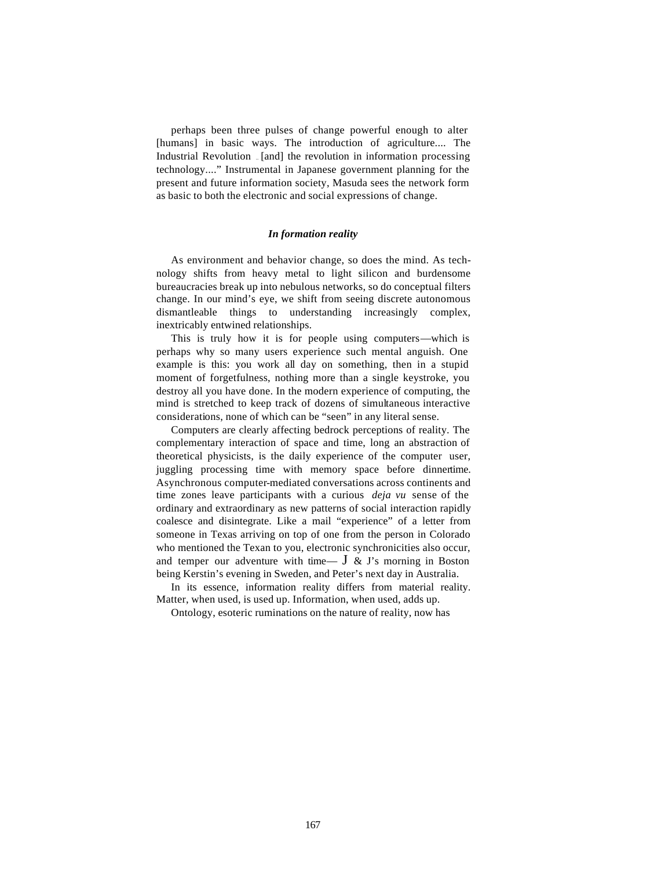perhaps been three pulses of change powerful enough to alter [humans] in basic ways. The introduction of agriculture.... The Industrial Revolution . [and] the revolution in information processing technology...." Instrumental in Japanese government planning for the present and future information society, Masuda sees the network form as basic to both the electronic and social expressions of change.

## *In formation reality*

As environment and behavior change, so does the mind. As technology shifts from heavy metal to light silicon and burdensome bureaucracies break up into nebulous networks, so do conceptual filters change. In our mind's eye, we shift from seeing discrete autonomous dismantleable things to understanding increasingly complex, inextricably entwined relationships.

This is truly how it is for people using computers—which is perhaps why so many users experience such mental anguish. One example is this: you work all day on something, then in a stupid moment of forgetfulness, nothing more than a single keystroke, you destroy all you have done. In the modern experience of computing, the mind is stretched to keep track of dozens of simultaneous interactive considerations, none of which can be "seen" in any literal sense.

Computers are clearly affecting bedrock perceptions of reality. The complementary interaction of space and time, long an abstraction of theoretical physicists, is the daily experience of the computer user, juggling processing time with memory space before dinnertime. Asynchronous computer-mediated conversations across continents and time zones leave participants with a curious *deja vu* sense of the ordinary and extraordinary as new patterns of social interaction rapidly coalesce and disintegrate. Like a mail "experience" of a letter from someone in Texas arriving on top of one from the person in Colorado who mentioned the Texan to you, electronic synchronicities also occur, and temper our adventure with time—  $J \& J$ 's morning in Boston being Kerstin's evening in Sweden, and Peter's next day in Australia.

In its essence, information reality differs from material reality. Matter, when used, is used up. Information, when used, adds up.

Ontology, esoteric ruminations on the nature of reality, now has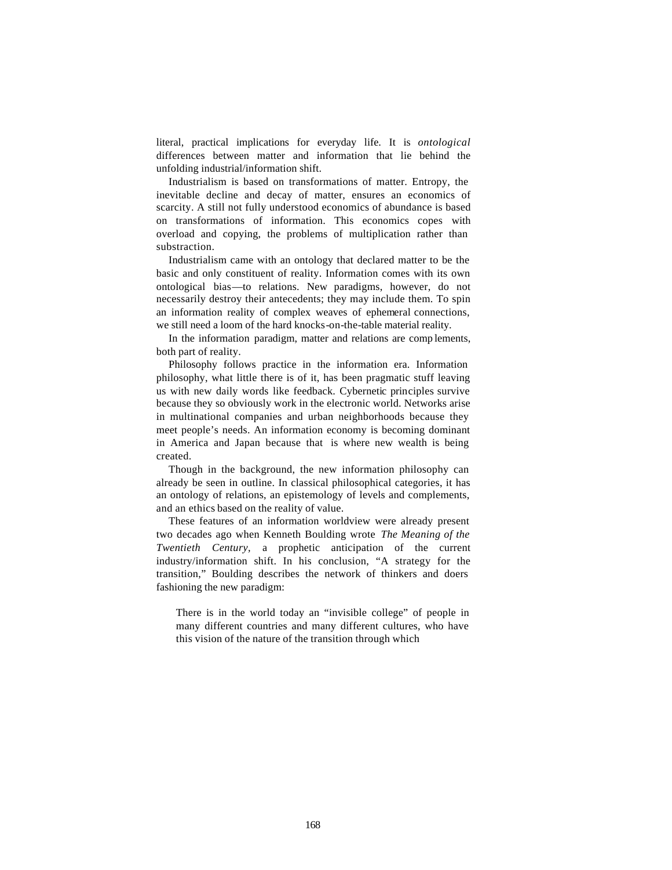literal, practical implications for everyday life. It is *ontological*  differences between matter and information that lie behind the unfolding industrial/information shift.

Industrialism is based on transformations of matter. Entropy, the inevitable decline and decay of matter, ensures an economics of scarcity. A still not fully understood economics of abundance is based on transformations of information. This economics copes with overload and copying, the problems of multiplication rather than substraction.

Industrialism came with an ontology that declared matter to be the basic and only constituent of reality. Information comes with its own ontological bias—to relations. New paradigms, however, do not necessarily destroy their antecedents; they may include them. To spin an information reality of complex weaves of ephemeral connections, we still need a loom of the hard knocks-on-the-table material reality.

In the information paradigm, matter and relations are comp lements, both part of reality.

Philosophy follows practice in the information era. Information philosophy, what little there is of it, has been pragmatic stuff leaving us with new daily words like feedback. Cybernetic principles survive because they so obviously work in the electronic world. Networks arise in multinational companies and urban neighborhoods because they meet people's needs. An information economy is becoming dominant in America and Japan because that is where new wealth is being created.

Though in the background, the new information philosophy can already be seen in outline. In classical philosophical categories, it has an ontology of relations, an epistemology of levels and complements, and an ethics based on the reality of value.

These features of an information worldview were already present two decades ago when Kenneth Boulding wrote *The Meaning of the Twentieth Century,* a prophetic anticipation of the current industry/information shift. In his conclusion, "A strategy for the transition," Boulding describes the network of thinkers and doers fashioning the new paradigm:

There is in the world today an "invisible college" of people in many different countries and many different cultures, who have this vision of the nature of the transition through which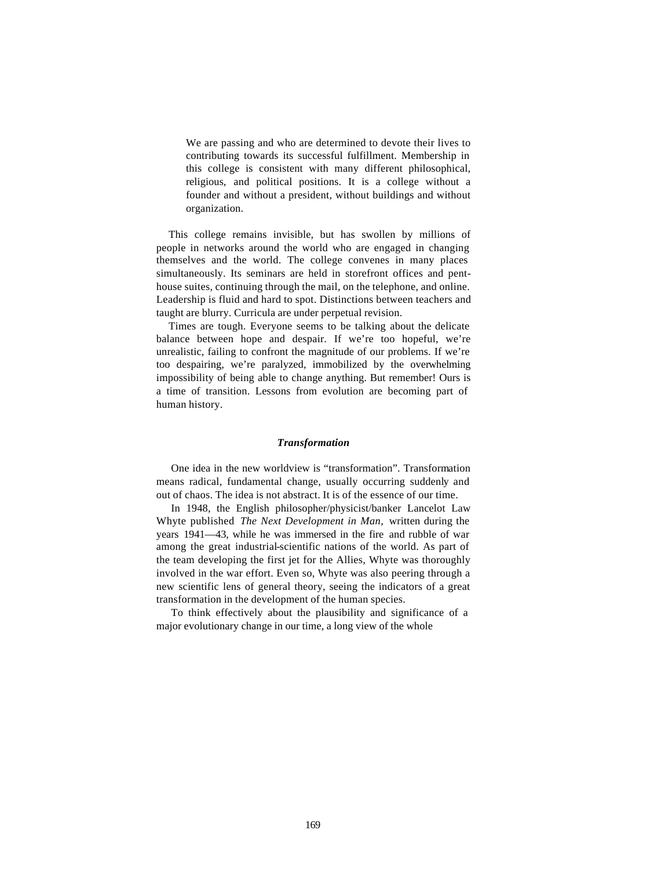We are passing and who are determined to devote their lives to contributing towards its successful fulfillment. Membership in this college is consistent with many different philosophical, religious, and political positions. It is a college without a founder and without a president, without buildings and without organization.

This college remains invisible, but has swollen by millions of people in networks around the world who are engaged in changing themselves and the world. The college convenes in many places simultaneously. Its seminars are held in storefront offices and penthouse suites, continuing through the mail, on the telephone, and online. Leadership is fluid and hard to spot. Distinctions between teachers and taught are blurry. Curricula are under perpetual revision.

Times are tough. Everyone seems to be talking about the delicate balance between hope and despair. If we're too hopeful, we're unrealistic, failing to confront the magnitude of our problems. If we're too despairing, we're paralyzed, immobilized by the overwhelming impossibility of being able to change anything. But remember! Ours is a time of transition. Lessons from evolution are becoming part of human history.

#### *Transformation*

One idea in the new worldview is "transformation". Transformation means radical, fundamental change, usually occurring suddenly and out of chaos. The idea is not abstract. It is of the essence of our time.

In 1948, the English philosopher/physicist/banker Lancelot Law Whyte published *The Next Development in Man,* written during the years 1941—43, while he was immersed in the fire and rubble of war among the great industrial-scientific nations of the world. As part of the team developing the first jet for the Allies, Whyte was thoroughly involved in the war effort. Even so, Whyte was also peering through a new scientific lens of general theory, seeing the indicators of a great transformation in the development of the human species.

To think effectively about the plausibility and significance of a major evolutionary change in our time, a long view of the whole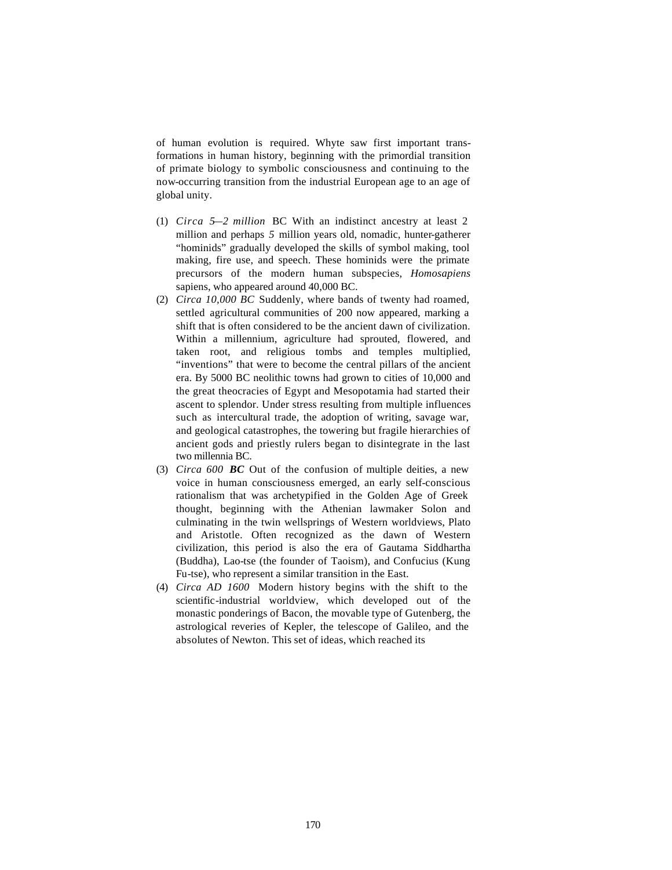of human evolution is required. Whyte saw first important transformations in human history, beginning with the primordial transition of primate biology to symbolic consciousness and continuing to the now-occurring transition from the industrial European age to an age of global unity.

- (1) *Circa 5—2 million* BC With an indistinct ancestry at least 2 million and perhaps *5* million years old, nomadic, hunter-gatherer "hominids" gradually developed the skills of symbol making, tool making, fire use, and speech. These hominids were the primate precursors of the modern human subspecies, *Homosapiens*  sapiens, who appeared around 40,000 BC.
- (2) *Circa 10,000 BC* Suddenly, where bands of twenty had roamed, settled agricultural communities of 200 now appeared, marking a shift that is often considered to be the ancient dawn of civilization. Within a millennium, agriculture had sprouted, flowered, and taken root, and religious tombs and temples multiplied, "inventions" that were to become the central pillars of the ancient era. By 5000 BC neolithic towns had grown to cities of 10,000 and the great theocracies of Egypt and Mesopotamia had started their ascent to splendor. Under stress resulting from multiple influences such as intercultural trade, the adoption of writing, savage war, and geological catastrophes, the towering but fragile hierarchies of ancient gods and priestly rulers began to disintegrate in the last two millennia BC.
- (3) *Circa 600 BC* Out of the confusion of multiple deities, a new voice in human consciousness emerged, an early self-conscious rationalism that was archetypified in the Golden Age of Greek thought, beginning with the Athenian lawmaker Solon and culminating in the twin wellsprings of Western worldviews, Plato and Aristotle. Often recognized as the dawn of Western civilization, this period is also the era of Gautama Siddhartha (Buddha), Lao-tse (the founder of Taoism), and Confucius (Kung Fu-tse), who represent a similar transition in the East.
- (4) *Circa AD 1600* Modern history begins with the shift to the scientific-industrial worldview, which developed out of the monastic ponderings of Bacon, the movable type of Gutenberg, the astrological reveries of Kepler, the telescope of Galileo, and the absolutes of Newton. This set of ideas, which reached its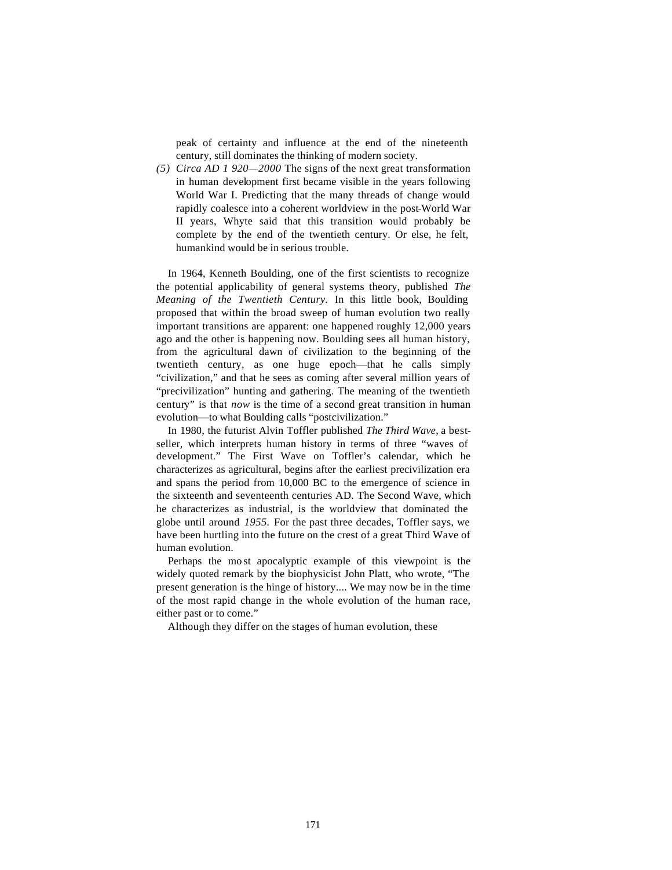peak of certainty and influence at the end of the nineteenth century, still dominates the thinking of modern society.

*(5) Circa AD 1 920—2000* The signs of the next great transformation in human development first became visible in the years following World War I. Predicting that the many threads of change would rapidly coalesce into a coherent worldview in the post-World War II years, Whyte said that this transition would probably be complete by the end of the twentieth century. Or else, he felt, humankind would be in serious trouble.

In 1964, Kenneth Boulding, one of the first scientists to recognize the potential applicability of general systems theory, published *The Meaning of the Twentieth Century.* In this little book, Boulding proposed that within the broad sweep of human evolution two really important transitions are apparent: one happened roughly 12,000 years ago and the other is happening now. Boulding sees all human history, from the agricultural dawn of civilization to the beginning of the twentieth century, as one huge epoch—that he calls simply "civilization," and that he sees as coming after several million years of "precivilization" hunting and gathering. The meaning of the twentieth century" is that *now* is the time of a second great transition in human evolution—to what Boulding calls "postcivilization."

In 1980, the futurist Alvin Toffler published *The Third Wave,* a bestseller, which interprets human history in terms of three "waves of development." The First Wave on Toffler's calendar, which he characterizes as agricultural, begins after the earliest precivilization era and spans the period from 10,000 BC to the emergence of science in the sixteenth and seventeenth centuries AD. The Second Wave, which he characterizes as industrial, is the worldview that dominated the globe until around *1955.* For the past three decades, Toffler says, we have been hurtling into the future on the crest of a great Third Wave of human evolution.

Perhaps the mo st apocalyptic example of this viewpoint is the widely quoted remark by the biophysicist John Platt, who wrote, "The present generation is the hinge of history.... We may now be in the time of the most rapid change in the whole evolution of the human race, either past or to come."

Although they differ on the stages of human evolution, these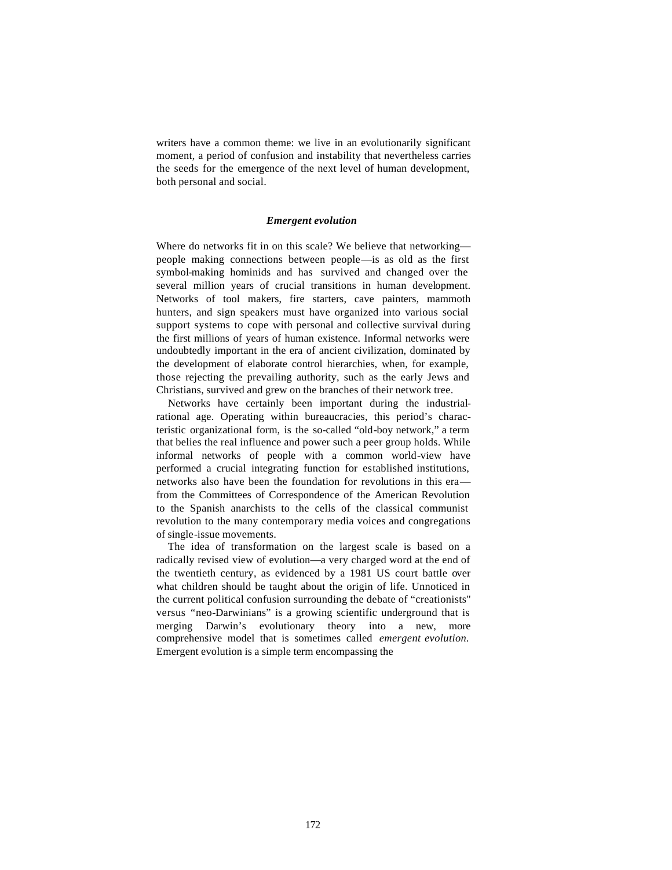writers have a common theme: we live in an evolutionarily significant moment, a period of confusion and instability that nevertheless carries the seeds for the emergence of the next level of human development, both personal and social.

## *Emergent evolution*

Where do networks fit in on this scale? We believe that networking people making connections between people—is as old as the first symbol-making hominids and has survived and changed over the several million years of crucial transitions in human development. Networks of tool makers, fire starters, cave painters, mammoth hunters, and sign speakers must have organized into various social support systems to cope with personal and collective survival during the first millions of years of human existence. Informal networks were undoubtedly important in the era of ancient civilization, dominated by the development of elaborate control hierarchies, when, for example, those rejecting the prevailing authority, such as the early Jews and Christians, survived and grew on the branches of their network tree.

Networks have certainly been important during the industrialrational age. Operating within bureaucracies, this period's characteristic organizational form, is the so-called "old-boy network," a term that belies the real influence and power such a peer group holds. While informal networks of people with a common world-view have performed a crucial integrating function for established institutions, networks also have been the foundation for revolutions in this era from the Committees of Correspondence of the American Revolution to the Spanish anarchists to the cells of the classical communist revolution to the many contemporary media voices and congregations of single-issue movements.

The idea of transformation on the largest scale is based on a radically revised view of evolution—a very charged word at the end of the twentieth century, as evidenced by a 1981 US court battle over what children should be taught about the origin of life. Unnoticed in the current political confusion surrounding the debate of "creationists" versus "neo-Darwinians" is a growing scientific underground that is merging Darwin's evolutionary theory into a new, more comprehensive model that is sometimes called *emergent evolution.*  Emergent evolution is a simple term encompassing the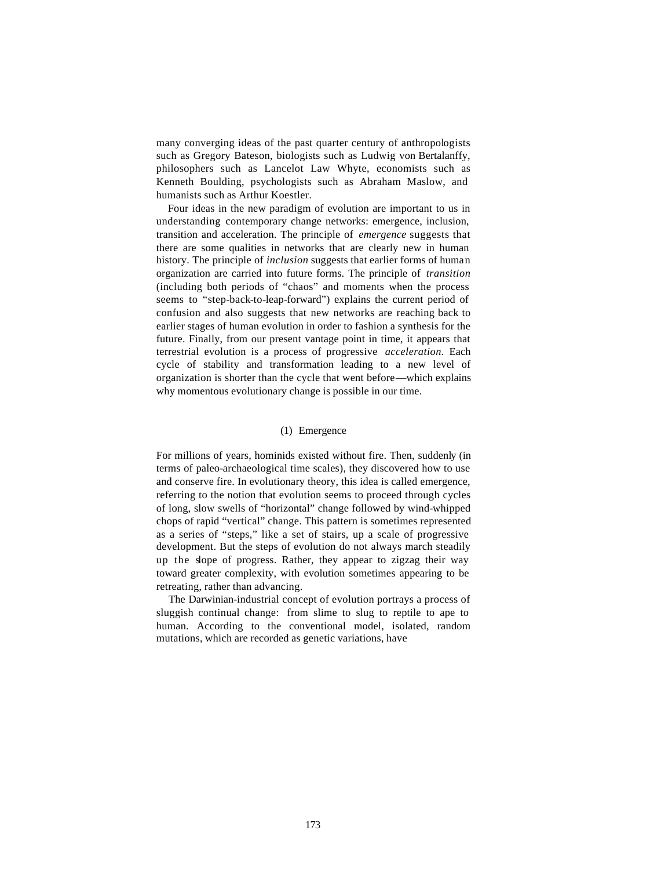many converging ideas of the past quarter century of anthropologists such as Gregory Bateson, biologists such as Ludwig von Bertalanffy, philosophers such as Lancelot Law Whyte, economists such as Kenneth Boulding, psychologists such as Abraham Maslow, and humanists such as Arthur Koestler.

Four ideas in the new paradigm of evolution are important to us in understanding contemporary change networks: emergence, inclusion, transition and acceleration. The principle of *emergence* suggests that there are some qualities in networks that are clearly new in human history. The principle of *inclusion* suggests that earlier forms of human organization are carried into future forms. The principle of *transition*  (including both periods of "chaos" and moments when the process seems to "step-back-to-leap-forward") explains the current period of confusion and also suggests that new networks are reaching back to earlier stages of human evolution in order to fashion a synthesis for the future. Finally, from our present vantage point in time, it appears that terrestrial evolution is a process of progressive *acceleration.* Each cycle of stability and transformation leading to a new level of organization is shorter than the cycle that went before—which explains why momentous evolutionary change is possible in our time.

# (1) Emergence

For millions of years, hominids existed without fire. Then, suddenly (in terms of paleo-archaeological time scales), they discovered how to use and conserve fire. In evolutionary theory, this idea is called emergence, referring to the notion that evolution seems to proceed through cycles of long, slow swells of "horizontal" change followed by wind-whipped chops of rapid "vertical" change. This pattern is sometimes represented as a series of "steps," like a set of stairs, up a scale of progressive development. But the steps of evolution do not always march steadily up the slope of progress. Rather, they appear to zigzag their way toward greater complexity, with evolution sometimes appearing to be retreating, rather than advancing.

The Darwinian-industrial concept of evolution portrays a process of sluggish continual change: from slime to slug to reptile to ape to human. According to the conventional model, isolated, random mutations, which are recorded as genetic variations, have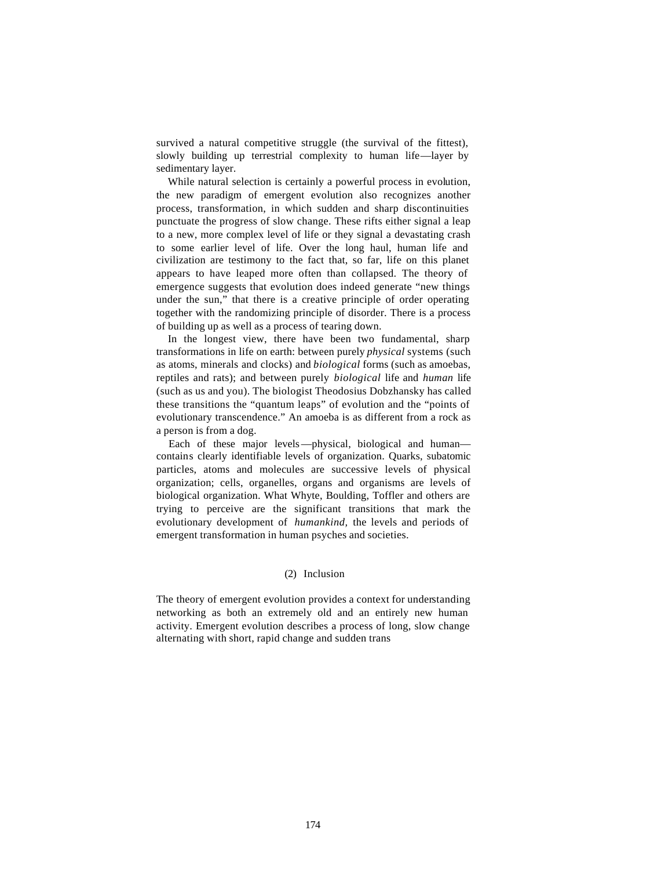survived a natural competitive struggle (the survival of the fittest), slowly building up terrestrial complexity to human life—layer by sedimentary layer.

While natural selection is certainly a powerful process in evolution, the new paradigm of emergent evolution also recognizes another process, transformation, in which sudden and sharp discontinuities punctuate the progress of slow change. These rifts either signal a leap to a new, more complex level of life or they signal a devastating crash to some earlier level of life. Over the long haul, human life and civilization are testimony to the fact that, so far, life on this planet appears to have leaped more often than collapsed. The theory of emergence suggests that evolution does indeed generate "new things under the sun," that there is a creative principle of order operating together with the randomizing principle of disorder. There is a process of building up as well as a process of tearing down.

In the longest view, there have been two fundamental, sharp transformations in life on earth: between purely *physical* systems (such as atoms, minerals and clocks) and *biological* forms (such as amoebas, reptiles and rats); and between purely *biological* life and *human* life (such as us and you). The biologist Theodosius Dobzhansky has called these transitions the "quantum leaps" of evolution and the "points of evolutionary transcendence." An amoeba is as different from a rock as a person is from a dog.

Each of these major levels—physical, biological and human contains clearly identifiable levels of organization. Quarks, subatomic particles, atoms and molecules are successive levels of physical organization; cells, organelles, organs and organisms are levels of biological organization. What Whyte, Boulding, Toffler and others are trying to perceive are the significant transitions that mark the evolutionary development of *humankind,* the levels and periods of emergent transformation in human psyches and societies.

# (2) Inclusion

The theory of emergent evolution provides a context for understanding networking as both an extremely old and an entirely new human activity. Emergent evolution describes a process of long, slow change alternating with short, rapid change and sudden trans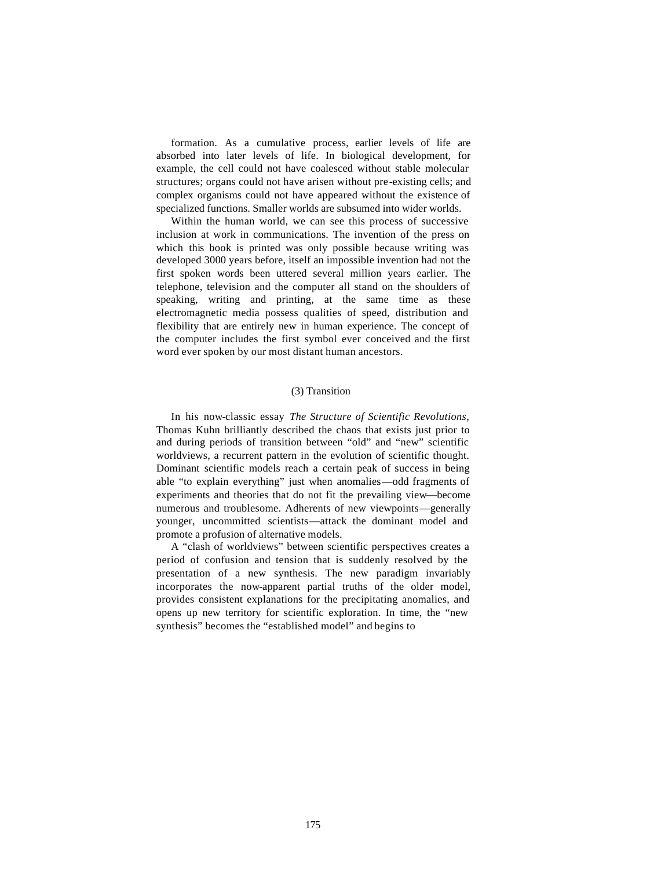formation. As a cumulative process, earlier levels of life are absorbed into later levels of life. In biological development, for example, the cell could not have coalesced without stable molecular structures; organs could not have arisen without pre-existing cells; and complex organisms could not have appeared without the existence of specialized functions. Smaller worlds are subsumed into wider worlds.

Within the human world, we can see this process of successive inclusion at work in communications. The invention of the press on which this book is printed was only possible because writing was developed 3000 years before, itself an impossible invention had not the first spoken words been uttered several million years earlier. The telephone, television and the computer all stand on the shoulders of speaking, writing and printing, at the same time as these electromagnetic media possess qualities of speed, distribution and flexibility that are entirely new in human experience. The concept of the computer includes the first symbol ever conceived and the first word ever spoken by our most distant human ancestors.

# (3) Transition

In his now-classic essay *The Structure of Scientific Revolutions,*  Thomas Kuhn brilliantly described the chaos that exists just prior to and during periods of transition between "old" and "new" scientific worldviews, a recurrent pattern in the evolution of scientific thought. Dominant scientific models reach a certain peak of success in being able "to explain everything" just when anomalies—odd fragments of experiments and theories that do not fit the prevailing view—become numerous and troublesome. Adherents of new viewpoints—generally younger, uncommitted scientists—attack the dominant model and promote a profusion of alternative models.

A "clash of worldviews" between scientific perspectives creates a period of confusion and tension that is suddenly resolved by the presentation of a new synthesis. The new paradigm invariably incorporates the now-apparent partial truths of the older model, provides consistent explanations for the precipitating anomalies, and opens up new territory for scientific exploration. In time, the "new synthesis" becomes the "established model" and begins to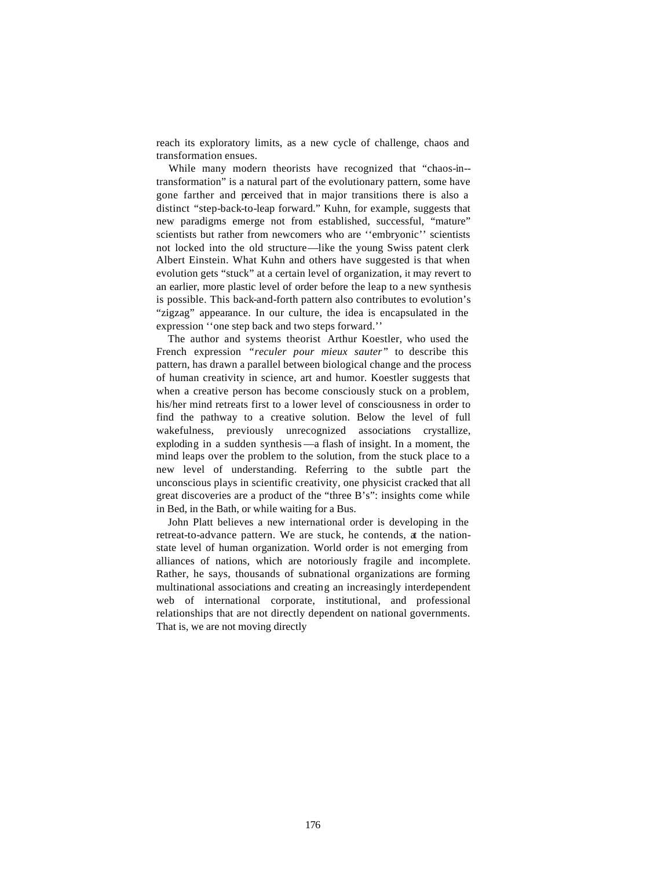reach its exploratory limits, as a new cycle of challenge, chaos and transformation ensues.

While many modern theorists have recognized that "chaos-in- transformation" is a natural part of the evolutionary pattern, some have gone farther and perceived that in major transitions there is also a distinct "step-back-to-leap forward." Kuhn, for example, suggests that new paradigms emerge not from established, successful, "mature" scientists but rather from newcomers who are ''embryonic'' scientists not locked into the old structure—like the young Swiss patent clerk Albert Einstein. What Kuhn and others have suggested is that when evolution gets "stuck" at a certain level of organization, it may revert to an earlier, more plastic level of order before the leap to a new synthesis is possible. This back-and-forth pattern also contributes to evolution's "zigzag" appearance. In our culture, the idea is encapsulated in the expression ''one step back and two steps forward.''

The author and systems theorist Arthur Koestler, who used the French expression *"reculer pour mieux sauter"* to describe this pattern, has drawn a parallel between biological change and the process of human creativity in science, art and humor. Koestler suggests that when a creative person has become consciously stuck on a problem, his/her mind retreats first to a lower level of consciousness in order to find the pathway to a creative solution. Below the level of full wakefulness, previously unrecognized associations crystallize, exploding in a sudden synthesis —a flash of insight. In a moment, the mind leaps over the problem to the solution, from the stuck place to a new level of understanding. Referring to the subtle part the unconscious plays in scientific creativity, one physicist cracked that all great discoveries are a product of the "three B's": insights come while in Bed, in the Bath, or while waiting for a Bus.

John Platt believes a new international order is developing in the retreat-to-advance pattern. We are stuck, he contends, at the nationstate level of human organization. World order is not emerging from alliances of nations, which are notoriously fragile and incomplete. Rather, he says, thousands of subnational organizations are forming multinational associations and creating an increasingly interdependent web of international corporate, institutional, and professional relationships that are not directly dependent on national governments. That is, we are not moving directly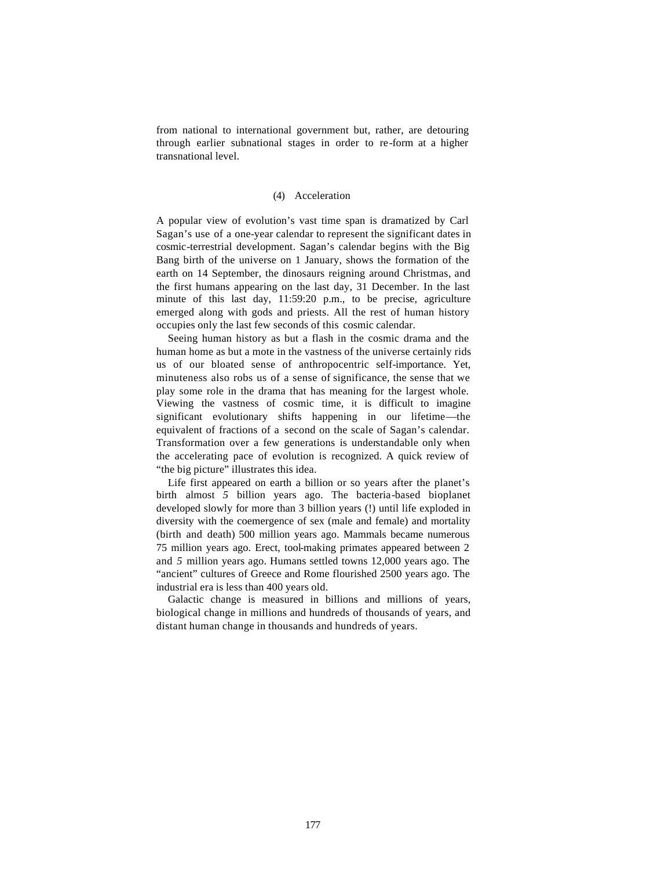from national to international government but, rather, are detouring through earlier subnational stages in order to re-form at a higher transnational level.

## (4) Acceleration

A popular view of evolution's vast time span is dramatized by Carl Sagan's use of a one-year calendar to represent the significant dates in cosmic-terrestrial development. Sagan's calendar begins with the Big Bang birth of the universe on 1 January, shows the formation of the earth on 14 September, the dinosaurs reigning around Christmas, and the first humans appearing on the last day, 31 December. In the last minute of this last day, 11:59:20 p.m., to be precise, agriculture emerged along with gods and priests. All the rest of human history occupies only the last few seconds of this cosmic calendar.

Seeing human history as but a flash in the cosmic drama and the human home as but a mote in the vastness of the universe certainly rids us of our bloated sense of anthropocentric self-importance. Yet, minuteness also robs us of a sense of significance, the sense that we play some role in the drama that has meaning for the largest whole. Viewing the vastness of cosmic time, it is difficult to imagine significant evolutionary shifts happening in our lifetime—the equivalent of fractions of a second on the scale of Sagan's calendar. Transformation over a few generations is understandable only when the accelerating pace of evolution is recognized. A quick review of "the big picture" illustrates this idea.

Life first appeared on earth a billion or so years after the planet's birth almost *5* billion years ago. The bacteria-based bioplanet developed slowly for more than 3 billion years (!) until life exploded in diversity with the coemergence of sex (male and female) and mortality (birth and death) 500 million years ago. Mammals became numerous 75 million years ago. Erect, tool-making primates appeared between 2 and *5* million years ago. Humans settled towns 12,000 years ago. The "ancient" cultures of Greece and Rome flourished 2500 years ago. The industrial era is less than 400 years old.

Galactic change is measured in billions and millions of years, biological change in millions and hundreds of thousands of years, and distant human change in thousands and hundreds of years.